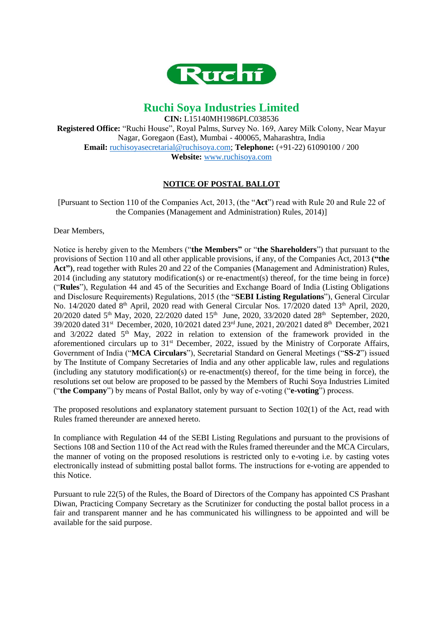

**Ruchi Soya Industries Limited**

**CIN:** L15140MH1986PLC038536 **Registered Office:** "Ruchi House", Royal Palms, Survey No. 169, Aarey Milk Colony, Near Mayur Nagar, Goregaon (East), Mumbai - 400065, Maharashtra, India **Email:** [ruchisoyasecretarial@ruchisoya.com;](mailto:ruchisoyasecretarial@ruchisoya.com) **Telephone:** (+91-22) 61090100 / 200 **Website:** [www.ruchisoya.com](http://www.ruchisoya.com/)

# **NOTICE OF POSTAL BALLOT**

[Pursuant to Section 110 of the Companies Act, 2013, (the "**Act**") read with Rule 20 and Rule 22 of the Companies (Management and Administration) Rules, 2014)]

Dear Members,

Notice is hereby given to the Members ("**the Members"** or "**the Shareholders**") that pursuant to the provisions of Section 110 and all other applicable provisions, if any, of the Companies Act, 2013 **("the Act")**, read together with Rules 20 and 22 of the Companies (Management and Administration) Rules, 2014 (including any statutory modification(s) or re-enactment(s) thereof, for the time being in force) ("**Rules**"), Regulation 44 and 45 of the Securities and Exchange Board of India (Listing Obligations and Disclosure Requirements) Regulations, 2015 (the "**SEBI Listing Regulations**"), General Circular No. 14/2020 dated 8<sup>th</sup> April, 2020 read with General Circular Nos. 17/2020 dated 13<sup>th</sup> April, 2020,  $20/2020$  dated 5<sup>th</sup> May,  $2020$ ,  $22/2020$  dated  $15$ <sup>th</sup> June, 2020,  $33/2020$  dated  $28$ <sup>th</sup> September, 2020, 39/2020 dated 31st December, 2020, 10/2021 dated 23rd June, 2021, 20/2021 dated 8th December, 2021 and  $3/2022$  dated  $5<sup>th</sup>$  May, 2022 in relation to extension of the framework provided in the aforementioned circulars up to  $31<sup>st</sup>$  December, 2022, issued by the Ministry of Corporate Affairs, Government of India ("**MCA Circulars**"), Secretarial Standard on General Meetings ("**SS-2**") issued by The Institute of Company Secretaries of India and any other applicable law, rules and regulations (including any statutory modification(s) or re-enactment(s) thereof, for the time being in force), the resolutions set out below are proposed to be passed by the Members of Ruchi Soya Industries Limited ("**the Company**") by means of Postal Ballot, only by way of e-voting ("**e-voting**") process.

The proposed resolutions and explanatory statement pursuant to Section 102(1) of the Act, read with Rules framed thereunder are annexed hereto.

In compliance with Regulation 44 of the SEBI Listing Regulations and pursuant to the provisions of Sections 108 and Section 110 of the Act read with the Rules framed thereunder and the MCA Circulars, the manner of voting on the proposed resolutions is restricted only to e-voting i.e. by casting votes electronically instead of submitting postal ballot forms. The instructions for e-voting are appended to this Notice.

Pursuant to rule 22(5) of the Rules, the Board of Directors of the Company has appointed CS Prashant Diwan, Practicing Company Secretary as the Scrutinizer for conducting the postal ballot process in a fair and transparent manner and he has communicated his willingness to be appointed and will be available for the said purpose.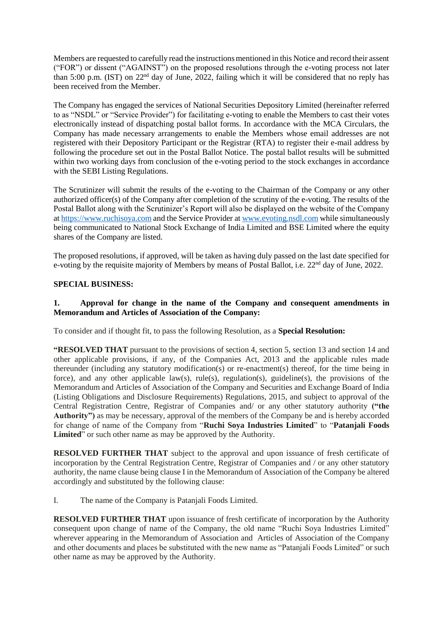Members are requested to carefully read the instructions mentioned in this Notice and record their assent ("FOR") or dissent ("AGAINST") on the proposed resolutions through the e-voting process not later than 5:00 p.m. (IST) on 22nd day of June, 2022, failing which it will be considered that no reply has been received from the Member.

The Company has engaged the services of National Securities Depository Limited (hereinafter referred to as "NSDL" or "Service Provider") for facilitating e-voting to enable the Members to cast their votes electronically instead of dispatching postal ballot forms. In accordance with the MCA Circulars, the Company has made necessary arrangements to enable the Members whose email addresses are not registered with their Depository Participant or the Registrar (RTA) to register their e-mail address by following the procedure set out in the Postal Ballot Notice. The postal ballot results will be submitted within two working days from conclusion of the e-voting period to the stock exchanges in accordance with the SEBI Listing Regulations.

The Scrutinizer will submit the results of the e-voting to the Chairman of the Company or any other authorized officer(s) of the Company after completion of the scrutiny of the e-voting. The results of the Postal Ballot along with the Scrutinizer's Report will also be displayed on the website of the Company at [https://www.ruchisoya.com](https://www.ruchisoya.com/) and the Service Provider a[t www.evoting.nsdl.com](http://www.evoting.nsdl.com/) while simultaneously being communicated to National Stock Exchange of India Limited and BSE Limited where the equity shares of the Company are listed.

The proposed resolutions, if approved, will be taken as having duly passed on the last date specified for e-voting by the requisite majority of Members by means of Postal Ballot, i.e. 22<sup>nd</sup> day of June, 2022.

## **SPECIAL BUSINESS:**

## **1. Approval for change in the name of the Company and consequent amendments in Memorandum and Articles of Association of the Company:**

To consider and if thought fit, to pass the following Resolution, as a **Special Resolution:**

**"RESOLVED THAT** pursuant to the provisions of section 4, section 5, section 13 and section 14 and other applicable provisions, if any, of the Companies Act, 2013 and the applicable rules made thereunder (including any statutory modification(s) or re-enactment(s) thereof, for the time being in force), and any other applicable law(s), rule(s), regulation(s), guideline(s), the provisions of the Memorandum and Articles of Association of the Company and Securities and Exchange Board of India (Listing Obligations and Disclosure Requirements) Regulations, 2015, and subject to approval of the Central Registration Centre, Registrar of Companies and/ or any other statutory authority **("the Authority")** as may be necessary, approval of the members of the Company be and is hereby accorded for change of name of the Company from "**Ruchi Soya Industries Limited**" to "**Patanjali Foods Limited**" or such other name as may be approved by the Authority.

**RESOLVED FURTHER THAT** subject to the approval and upon issuance of fresh certificate of incorporation by the Central Registration Centre, Registrar of Companies and / or any other statutory authority, the name clause being clause I in the Memorandum of Association of the Company be altered accordingly and substituted by the following clause:

I. The name of the Company is Patanjali Foods Limited.

**RESOLVED FURTHER THAT** upon issuance of fresh certificate of incorporation by the Authority consequent upon change of name of the Company, the old name "Ruchi Soya Industries Limited" wherever appearing in the Memorandum of Association and Articles of Association of the Company and other documents and places be substituted with the new name as "Patanjali Foods Limited" or such other name as may be approved by the Authority.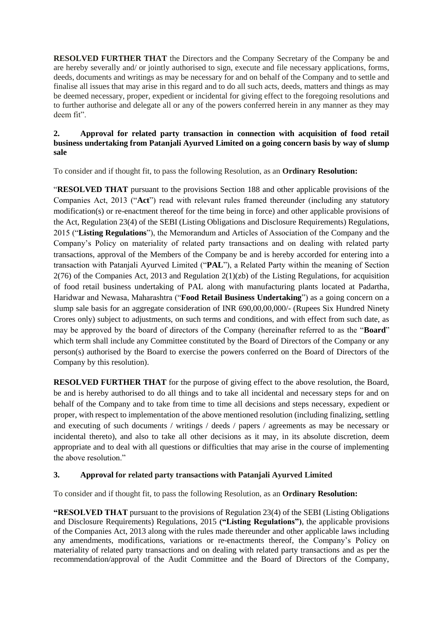**RESOLVED FURTHER THAT** the Directors and the Company Secretary of the Company be and are hereby severally and/ or jointly authorised to sign, execute and file necessary applications, forms, deeds, documents and writings as may be necessary for and on behalf of the Company and to settle and finalise all issues that may arise in this regard and to do all such acts, deeds, matters and things as may be deemed necessary, proper, expedient or incidental for giving effect to the foregoing resolutions and to further authorise and delegate all or any of the powers conferred herein in any manner as they may deem fit".

## **2. Approval for related party transaction in connection with acquisition of food retail business undertaking from Patanjali Ayurved Limited on a going concern basis by way of slump sale**

To consider and if thought fit, to pass the following Resolution, as an **Ordinary Resolution:**

"**RESOLVED THAT** pursuant to the provisions Section 188 and other applicable provisions of the Companies Act, 2013 ("**Act**") read with relevant rules framed thereunder (including any statutory modification(s) or re-enactment thereof for the time being in force) and other applicable provisions of the Act, Regulation 23(4) of the SEBI (Listing Obligations and Disclosure Requirements) Regulations, 2015 ("**Listing Regulations**"), the Memorandum and Articles of Association of the Company and the Company's Policy on materiality of related party transactions and on dealing with related party transactions, approval of the Members of the Company be and is hereby accorded for entering into a transaction with Patanjali Ayurved Limited ("**PAL**"), a Related Party within the meaning of Section  $2(76)$  of the Companies Act, 2013 and Regulation  $2(1)(zb)$  of the Listing Regulations, for acquisition of food retail business undertaking of PAL along with manufacturing plants located at Padartha, Haridwar and Newasa, Maharashtra ("**Food Retail Business Undertaking**") as a going concern on a slump sale basis for an aggregate consideration of INR 690,00,00,000/- (Rupees Six Hundred Ninety Crores only) subject to adjustments, on such terms and conditions, and with effect from such date, as may be approved by the board of directors of the Company (hereinafter referred to as the "**Board**" which term shall include any Committee constituted by the Board of Directors of the Company or any person(s) authorised by the Board to exercise the powers conferred on the Board of Directors of the Company by this resolution).

**RESOLVED FURTHER THAT** for the purpose of giving effect to the above resolution, the Board, be and is hereby authorised to do all things and to take all incidental and necessary steps for and on behalf of the Company and to take from time to time all decisions and steps necessary, expedient or proper, with respect to implementation of the above mentioned resolution (including finalizing, settling and executing of such documents / writings / deeds / papers / agreements as may be necessary or incidental thereto), and also to take all other decisions as it may, in its absolute discretion, deem appropriate and to deal with all questions or difficulties that may arise in the course of implementing the above resolution."

# **3. Approval for related party transactions with Patanjali Ayurved Limited**

To consider and if thought fit, to pass the following Resolution, as an **Ordinary Resolution:**

**"RESOLVED THAT** pursuant to the provisions of Regulation 23(4) of the SEBI (Listing Obligations and Disclosure Requirements) Regulations, 2015 **("Listing Regulations")**, the applicable provisions of the Companies Act, 2013 along with the rules made thereunder and other applicable laws including any amendments, modifications, variations or re-enactments thereof, the Company's Policy on materiality of related party transactions and on dealing with related party transactions and as per the recommendation/approval of the Audit Committee and the Board of Directors of the Company,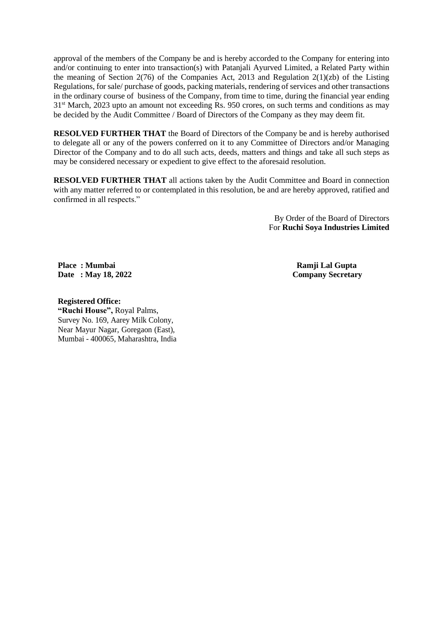approval of the members of the Company be and is hereby accorded to the Company for entering into and/or continuing to enter into transaction(s) with Patanjali Ayurved Limited, a Related Party within the meaning of Section 2(76) of the Companies Act, 2013 and Regulation 2(1)(zb) of the Listing Regulations, for sale/ purchase of goods, packing materials, rendering of services and other transactions in the ordinary course of business of the Company, from time to time, during the financial year ending 31<sup>st</sup> March, 2023 upto an amount not exceeding Rs. 950 crores, on such terms and conditions as may be decided by the Audit Committee / Board of Directors of the Company as they may deem fit.

**RESOLVED FURTHER THAT** the Board of Directors of the Company be and is hereby authorised to delegate all or any of the powers conferred on it to any Committee of Directors and/or Managing Director of the Company and to do all such acts, deeds, matters and things and take all such steps as may be considered necessary or expedient to give effect to the aforesaid resolution.

**RESOLVED FURTHER THAT** all actions taken by the Audit Committee and Board in connection with any matter referred to or contemplated in this resolution, be and are hereby approved, ratified and confirmed in all respects."

> By Order of the Board of Directors For **Ruchi Soya Industries Limited**

**Place : Mumbai Ramji Lal Gupta Date : May 18, 2022** Company Secretary

**Registered Office: "Ruchi House",** Royal Palms, Survey No. 169, Aarey Milk Colony, Near Mayur Nagar, Goregaon (East), Mumbai - 400065, Maharashtra, India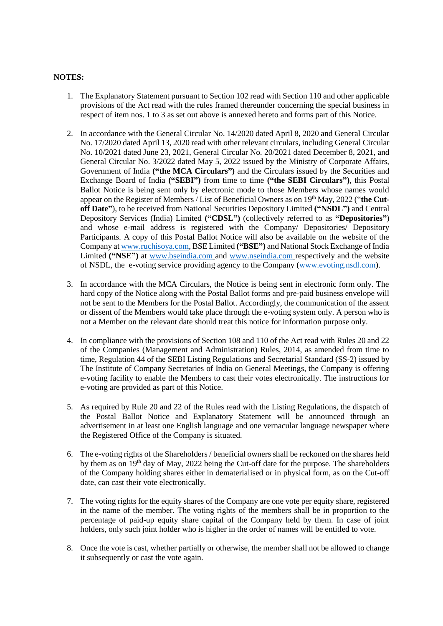#### **NOTES:**

- 1. The Explanatory Statement pursuant to Section 102 read with Section 110 and other applicable provisions of the Act read with the rules framed thereunder concerning the special business in respect of item nos. 1 to 3 as set out above is annexed hereto and forms part of this Notice.
- 2. In accordance with the General Circular No. 14/2020 dated April 8, 2020 and General Circular No. 17/2020 dated April 13, 2020 read with other relevant circulars, including General Circular No. 10/2021 dated June 23, 2021, General Circular No. 20/2021 dated December 8, 2021, and General Circular No. 3/2022 dated May 5, 2022 issued by the Ministry of Corporate Affairs, Government of India **("the MCA Circulars")** and the Circulars issued by the Securities and Exchange Board of India **("SEBI")** from time to time **("the SEBI Circulars")**, this Postal Ballot Notice is being sent only by electronic mode to those Members whose names would appear on the Register of Members / List of Beneficial Owners as on 19<sup>th</sup> May, 2022 ("the Cut**off Date"**), to be received from National Securities Depository Limited **("NSDL")** and Central Depository Services (India) Limited **("CDSL")** (collectively referred to as **"Depositories"**) and whose e-mail address is registered with the Company/ Depositories/ Depository Participants. A copy of this Postal Ballot Notice will also be available on the website of the Company at [www.ruchisoya.com,](http://www.ruchisoya.com/) BSE Limited **("BSE")** and National Stock Exchange of India Limited **("NSE")** at [www.bseindia.com](http://www.bseindia.com/) and [www.nseindia.com](http://www.nseindia.com/) respectively and the website of NSDL, the e-voting service providing agency to the Company [\(www.evoting.nsdl.com\)](http://www.evoting.nsdl.com/).
- 3. In accordance with the MCA Circulars, the Notice is being sent in electronic form only. The hard copy of the Notice along with the Postal Ballot forms and pre-paid business envelope will not be sent to the Members for the Postal Ballot. Accordingly, the communication of the assent or dissent of the Members would take place through the e-voting system only. A person who is not a Member on the relevant date should treat this notice for information purpose only.
- 4. In compliance with the provisions of Section 108 and 110 of the Act read with Rules 20 and 22 of the Companies (Management and Administration) Rules, 2014, as amended from time to time, Regulation 44 of the SEBI Listing Regulations and Secretarial Standard (SS-2) issued by The Institute of Company Secretaries of India on General Meetings, the Company is offering e-voting facility to enable the Members to cast their votes electronically. The instructions for e-voting are provided as part of this Notice.
- 5. As required by Rule 20 and 22 of the Rules read with the Listing Regulations, the dispatch of the Postal Ballot Notice and Explanatory Statement will be announced through an advertisement in at least one English language and one vernacular language newspaper where the Registered Office of the Company is situated.
- 6. The e-voting rights of the Shareholders / beneficial owners shall be reckoned on the shares held by them as on  $19<sup>th</sup>$  day of May, 2022 being the Cut-off date for the purpose. The shareholders of the Company holding shares either in dematerialised or in physical form, as on the Cut-off date, can cast their vote electronically.
- 7. The voting rights for the equity shares of the Company are one vote per equity share, registered in the name of the member. The voting rights of the members shall be in proportion to the percentage of paid-up equity share capital of the Company held by them. In case of joint holders, only such joint holder who is higher in the order of names will be entitled to vote.
- 8. Once the vote is cast, whether partially or otherwise, the member shall not be allowed to change it subsequently or cast the vote again.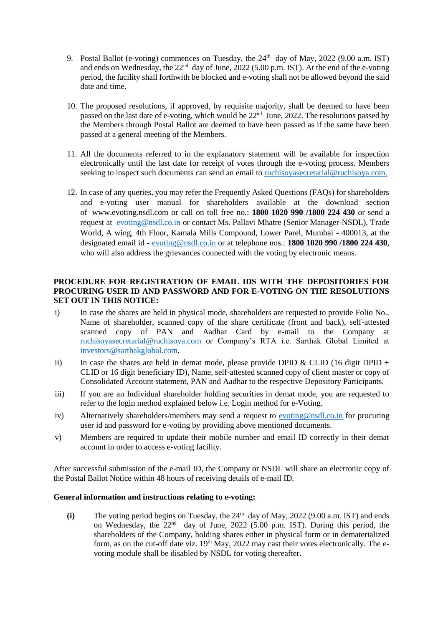- 9. Postal Ballot (e-voting) commences on Tuesday, the  $24<sup>th</sup>$  day of May,  $2022$  (9.00 a.m. IST) and ends on Wednesday, the 22nd day of June, 2022 (5.00 p.m. IST). At the end of the e-voting period, the facility shall forthwith be blocked and e-voting shall not be allowed beyond the said date and time.
- 10. The proposed resolutions, if approved, by requisite majority, shall be deemed to have been passed on the last date of e-voting, which would be  $22<sup>nd</sup>$  June, 2022. The resolutions passed by the Members through Postal Ballot are deemed to have been passed as if the same have been passed at a general meeting of the Members.
- 11. All the documents referred to in the explanatory statement will be available for inspection electronically until the last date for receipt of votes through the e-voting process. Members seeking to inspect such documents can send an email to [ruchisoyasecretarial@ruchisoya.com.](mailto:ruchisoyasecretarial@ruchisoya.com)
- 12. In case of any queries, you may refer the Frequently Asked Questions (FAQs) for shareholders and e-voting user manual for shareholders available at the download section of [www.evoting.nsdl.com](http://www.evoting.nsdl.com/) or call on toll free no.: **1800 1020 990 /1800 224 430** or send a request at [evoting@nsdl.co.in](mailto:evoting@nsdl.co.in) or contact Ms. Pallavi Mhatre (Senior Manager-NSDL), Trade World, A wing, 4th Floor, Kamala Mills Compound, Lower Parel, Mumbai - 400013, at the designated email id - [evoting@nsdl.co.in](mailto:evoting@nsdl.co.in) or at telephone nos.: **1800 1020 990 /1800 224 430**, who will also address the grievances connected with the voting by electronic means.

## **PROCEDURE FOR REGISTRATION OF EMAIL IDS WITH THE DEPOSITORIES FOR PROCURING USER ID AND PASSWORD AND FOR E-VOTING ON THE RESOLUTIONS SET OUT IN THIS NOTICE:**

- i) In case the shares are held in physical mode, shareholders are requested to provide Folio No., Name of shareholder, scanned copy of the share certificate (front and back), self-attested scanned copy of PAN and Aadhar Card by e-mail to the Company at [ruchisoyasecretarial@ruchisoya.com](mailto:ruchisoyasecretarial@ruchisoya.com) or Company's RTA i.e. Sarthak Global Limited at [investors@sarthakglobal.com.](mailto:investors@sarthakglobal.com)
- ii) In case the shares are held in demat mode, please provide DPID & CLID (16 digit DPID + CLID or 16 digit beneficiary ID), Name, self-attested scanned copy of client master or copy of Consolidated Account statement, PAN and Aadhar to the respective Depository Participants.
- iii) If you are an Individual shareholder holding securities in demat mode, you are requested to refer to the login method explained below i.e. Login method for e-Voting.
- iv) Alternatively shareholders/members may send a request to [evoting@nsdl.co.in](mailto:evoting@nsdl.co.in) for procuring user id and password for e-voting by providing above mentioned documents.
- v) Members are required to update their mobile number and email ID correctly in their demat account in order to access e-voting facility.

After successful submission of the e-mail ID, the Company or NSDL will share an electronic copy of the Postal Ballot Notice within 48 hours of receiving details of e-mail ID.

## **General information and instructions relating to e-voting:**

(i) The voting period begins on Tuesday, the 24<sup>th</sup> day of May, 2022 (9.00 a.m. IST) and ends on Wednesday, the  $22<sup>nd</sup>$  day of June, 2022 (5.00 p.m. IST). During this period, the shareholders of the Company, holding shares either in physical form or in dematerialized form, as on the cut-off date viz. 19<sup>th</sup> May, 2022 may cast their votes electronically. The evoting module shall be disabled by NSDL for voting thereafter.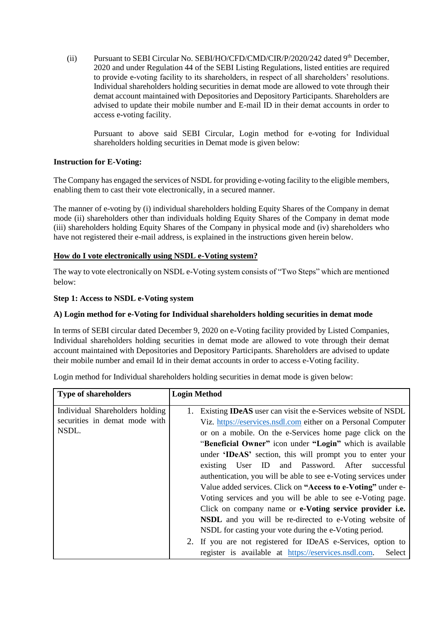(ii) Pursuant to SEBI Circular No. SEBI/HO/CFD/CMD/CIR/P/2020/242 dated 9<sup>th</sup> December, 2020 and under Regulation 44 of the SEBI Listing Regulations, listed entities are required to provide e-voting facility to its shareholders, in respect of all shareholders' resolutions. Individual shareholders holding securities in demat mode are allowed to vote through their demat account maintained with Depositories and Depository Participants. Shareholders are advised to update their mobile number and E-mail ID in their demat accounts in order to access e-voting facility.

Pursuant to above said SEBI Circular, Login method for e-voting for Individual shareholders holding securities in Demat mode is given below:

# **Instruction for E-Voting:**

The Company has engaged the services of NSDL for providing e-voting facility to the eligible members, enabling them to cast their vote electronically, in a secured manner.

The manner of e-voting by (i) individual shareholders holding Equity Shares of the Company in demat mode (ii) shareholders other than individuals holding Equity Shares of the Company in demat mode (iii) shareholders holding Equity Shares of the Company in physical mode and (iv) shareholders who have not registered their e-mail address, is explained in the instructions given herein below.

## **How do I vote electronically using NSDL e-Voting system?**

The way to vote electronically on NSDL e-Voting system consists of "Two Steps" which are mentioned below:

#### **Step 1: Access to NSDL e-Voting system**

#### **A) Login method for e-Voting for Individual shareholders holding securities in demat mode**

In terms of SEBI circular dated December 9, 2020 on e-Voting facility provided by Listed Companies, Individual shareholders holding securities in demat mode are allowed to vote through their demat account maintained with Depositories and Depository Participants. Shareholders are advised to update their mobile number and email Id in their demat accounts in order to access e-Voting facility.

| <b>Type of shareholders</b>                                               | <b>Login Method</b>                                                                                                                                                                                                                                                                                                                                                                                                                                                                                                                                                                                                                                                                                                                                                                                                                           |
|---------------------------------------------------------------------------|-----------------------------------------------------------------------------------------------------------------------------------------------------------------------------------------------------------------------------------------------------------------------------------------------------------------------------------------------------------------------------------------------------------------------------------------------------------------------------------------------------------------------------------------------------------------------------------------------------------------------------------------------------------------------------------------------------------------------------------------------------------------------------------------------------------------------------------------------|
| Individual Shareholders holding<br>securities in demat mode with<br>NSDL. | Existing <b>IDeAS</b> user can visit the e-Services website of NSDL<br>1.<br>Viz. https://eservices.nsdl.com either on a Personal Computer<br>or on a mobile. On the e-Services home page click on the<br>"Beneficial Owner" icon under "Login" which is available<br>under 'IDeAS' section, this will prompt you to enter your<br>existing User ID and Password. After<br>successful<br>authentication, you will be able to see e-Voting services under<br>Value added services. Click on "Access to e-Voting" under e-<br>Voting services and you will be able to see e-Voting page.<br>Click on company name or e-Voting service provider i.e.<br><b>NSDL</b> and you will be re-directed to e-Voting website of<br>NSDL for casting your vote during the e-Voting period.<br>2. If you are not registered for IDeAS e-Services, option to |
|                                                                           | register is available at https://eservices.nsdl.com.<br>Select                                                                                                                                                                                                                                                                                                                                                                                                                                                                                                                                                                                                                                                                                                                                                                                |

Login method for Individual shareholders holding securities in demat mode is given below: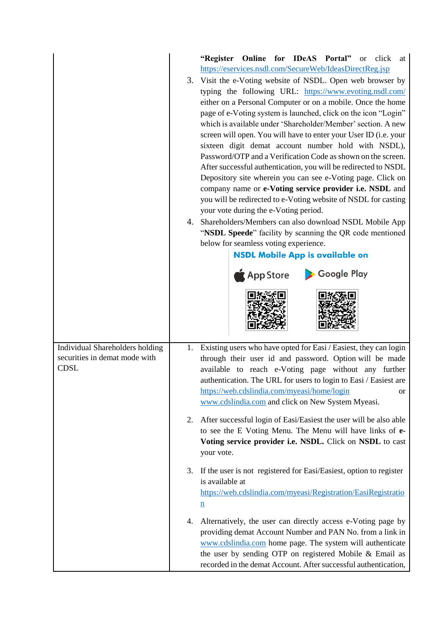|                                                                                 | Online for IDeAS Portal"<br>"Register<br>click<br><sub>or</sub><br>at<br>https://eservices.nsdl.com/SecureWeb/IdeasDirectReg.jsp<br>Visit the e-Voting website of NSDL. Open web browser by<br>3.<br>typing the following URL: https://www.evoting.nsdl.com/<br>either on a Personal Computer or on a mobile. Once the home<br>page of e-Voting system is launched, click on the icon "Login"<br>which is available under 'Shareholder/Member' section. A new<br>screen will open. You will have to enter your User ID (i.e. your<br>sixteen digit demat account number hold with NSDL),<br>Password/OTP and a Verification Code as shown on the screen.<br>After successful authentication, you will be redirected to NSDL<br>Depository site wherein you can see e-Voting page. Click on<br>company name or e-Voting service provider i.e. NSDL and<br>you will be redirected to e-Voting website of NSDL for casting<br>your vote during the e-Voting period.<br>Shareholders/Members can also download NSDL Mobile App<br>4.<br>"NSDL Speede" facility by scanning the QR code mentioned<br>below for seamless voting experience.<br><b>NSDL Mobile App is available on</b><br>App Store<br>Google Play |
|---------------------------------------------------------------------------------|-------------------------------------------------------------------------------------------------------------------------------------------------------------------------------------------------------------------------------------------------------------------------------------------------------------------------------------------------------------------------------------------------------------------------------------------------------------------------------------------------------------------------------------------------------------------------------------------------------------------------------------------------------------------------------------------------------------------------------------------------------------------------------------------------------------------------------------------------------------------------------------------------------------------------------------------------------------------------------------------------------------------------------------------------------------------------------------------------------------------------------------------------------------------------------------------------------------|
| Individual Shareholders holding<br>securities in demat mode with<br><b>CDSL</b> | Existing users who have opted for Easi / Easiest, they can login<br>1.<br>through their user id and password. Option will be made<br>available to reach e-Voting page without any further<br>authentication. The URL for users to login to Easi / Easiest are<br>https://web.cdslindia.com/myeasi/home/login<br><b>or</b><br>www.cdslindia.com and click on New System Myeasi.                                                                                                                                                                                                                                                                                                                                                                                                                                                                                                                                                                                                                                                                                                                                                                                                                              |
|                                                                                 | After successful login of Easi/Easiest the user will be also able<br>2.<br>to see the E Voting Menu. The Menu will have links of e-<br>Voting service provider i.e. NSDL. Click on NSDL to cast<br>your vote.                                                                                                                                                                                                                                                                                                                                                                                                                                                                                                                                                                                                                                                                                                                                                                                                                                                                                                                                                                                               |
|                                                                                 | If the user is not registered for Easi/Easiest, option to register<br>3.<br>is available at<br>https://web.cdslindia.com/myeasi/Registration/EasiRegistratio<br>$\underline{n}$                                                                                                                                                                                                                                                                                                                                                                                                                                                                                                                                                                                                                                                                                                                                                                                                                                                                                                                                                                                                                             |
|                                                                                 | Alternatively, the user can directly access e-Voting page by<br>4.<br>providing demat Account Number and PAN No. from a link in<br>www.cdslindia.com home page. The system will authenticate<br>the user by sending OTP on registered Mobile & Email as<br>recorded in the demat Account. After successful authentication,                                                                                                                                                                                                                                                                                                                                                                                                                                                                                                                                                                                                                                                                                                                                                                                                                                                                                  |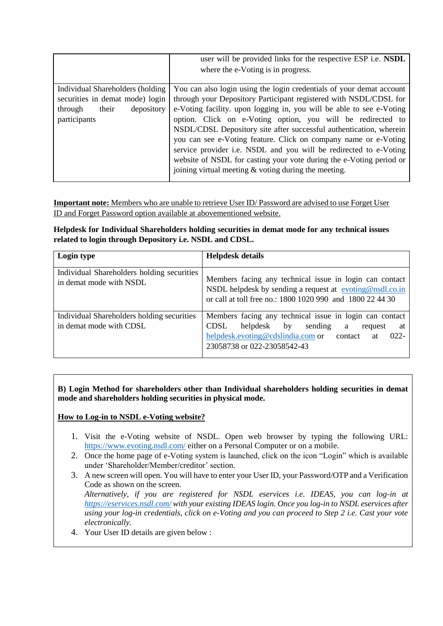|                                                                                                                        | user will be provided links for the respective ESP i.e. NSDL<br>where the e-Voting is in progress.                                                                                                                                                                                                                                                                                                                                                                                                                                                                                                                               |
|------------------------------------------------------------------------------------------------------------------------|----------------------------------------------------------------------------------------------------------------------------------------------------------------------------------------------------------------------------------------------------------------------------------------------------------------------------------------------------------------------------------------------------------------------------------------------------------------------------------------------------------------------------------------------------------------------------------------------------------------------------------|
| Individual Shareholders (holding)<br>securities in demat mode) login<br>their<br>depository<br>through<br>participants | You can also login using the login credentials of your demat account<br>through your Depository Participant registered with NSDL/CDSL for<br>e-Voting facility. upon logging in, you will be able to see e-Voting<br>option. Click on e-Voting option, you will be redirected to<br>NSDL/CDSL Depository site after successful authentication, wherein<br>you can see e-Voting feature. Click on company name or e-Voting<br>service provider i.e. NSDL and you will be redirected to e-Voting<br>website of NSDL for casting your vote during the e-Voting period or<br>joining virtual meeting $\&$ voting during the meeting. |

**Important note:** Members who are unable to retrieve User ID/ Password are advised to use Forget User ID and Forget Password option available at abovementioned website.

**Helpdesk for Individual Shareholders holding securities in demat mode for any technical issues related to login through Depository i.e. NSDL and CDSL.**

| Login type                                                            | <b>Helpdesk details</b>                                                                                                                                                                                |
|-----------------------------------------------------------------------|--------------------------------------------------------------------------------------------------------------------------------------------------------------------------------------------------------|
| Individual Shareholders holding securities<br>in demat mode with NSDL | Members facing any technical issue in login can contact<br>NSDL helpdesk by sending a request at evoting@nsdl.co.in<br>or call at toll free no.: 1800 1020 990 and 1800 22 44 30                       |
| Individual Shareholders holding securities<br>in demat mode with CDSL | Members facing any technical issue in login can contact<br>helpdesk by sending a<br>CDSL<br>request<br>at<br>helpdesk.evoting@cdslindia.com or contact<br>$022 -$<br>at<br>23058738 or 022-23058542-43 |

# **B) Login Method for shareholders other than Individual shareholders holding securities in demat mode and shareholders holding securities in physical mode.**

# **How to Log-in to NSDL e-Voting website?**

- 1. Visit the e-Voting website of NSDL. Open web browser by typing the following URL: <https://www.evoting.nsdl.com/> either on a Personal Computer or on a mobile.
- 2. Once the home page of e-Voting system is launched, click on the icon "Login" which is available under 'Shareholder/Member/creditor' section.
- 3. A new screen will open. You will have to enter your User ID, your Password/OTP and a Verification Code as shown on the screen. *Alternatively, if you are registered for NSDL eservices i.e. IDEAS, you can log-in at <https://eservices.nsdl.com/> with your existing IDEAS login. Once you log-in to NSDL eservices after using your log-in credentials, click on e-Voting and you can proceed to Step 2 i.e. Cast your vote electronically.*
- 4. Your User ID details are given below :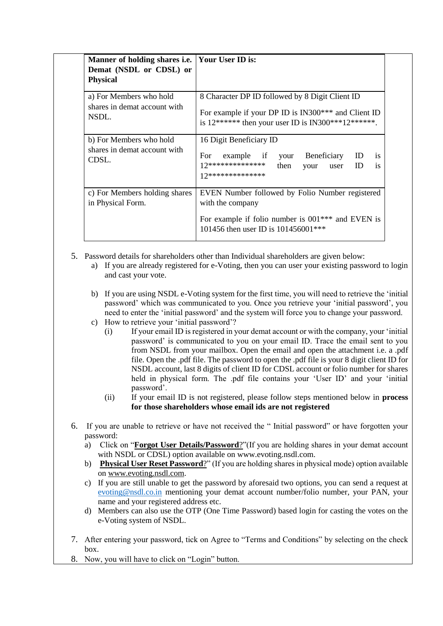| Manner of holding shares i.e. Your User ID is:<br>Demat (NSDL or CDSL) or<br><b>Physical</b> |                                                                                                                                                                           |
|----------------------------------------------------------------------------------------------|---------------------------------------------------------------------------------------------------------------------------------------------------------------------------|
| a) For Members who hold<br>shares in demat account with<br>NSDL.                             | 8 Character DP ID followed by 8 Digit Client ID<br>For example if your DP ID is IN300*** and Client ID<br>is $12******$ then your user ID is IN300***12******.            |
| b) For Members who hold<br>shares in demat account with<br>CDSL.                             | 16 Digit Beneficiary ID<br>Beneficiary<br>example if your<br>ID<br>For<br><i>is</i><br>$12**********************$<br>then<br>ID<br>is<br>your<br>user<br>12************** |
| c) For Members holding shares<br>in Physical Form.                                           | EVEN Number followed by Folio Number registered<br>with the company<br>For example if folio number is $001***$ and EVEN is<br>101456 then user ID is 101456001***         |

- 5. Password details for shareholders other than Individual shareholders are given below:
	- a) If you are already registered for e-Voting, then you can user your existing password to login and cast your vote.
	- b) If you are using NSDL e-Voting system for the first time, you will need to retrieve the 'initial password' which was communicated to you. Once you retrieve your 'initial password', you need to enter the 'initial password' and the system will force you to change your password.
	- c) How to retrieve your 'initial password'?
		- (i) If your email ID is registered in your demat account or with the company, your 'initial password' is communicated to you on your email ID. Trace the email sent to you from NSDL from your mailbox. Open the email and open the attachment i.e. a .pdf file. Open the .pdf file. The password to open the .pdf file is your 8 digit client ID for NSDL account, last 8 digits of client ID for CDSL account or folio number for shares held in physical form. The .pdf file contains your 'User ID' and your 'initial password'.
		- (ii) If your email ID is not registered, please follow steps mentioned below in **process for those shareholders whose email ids are not registered**
- 6. If you are unable to retrieve or have not received the " Initial password" or have forgotten your password:
	- a) Click on "**[Forgot User Details/Password](https://www.evoting.nsdl.com/eVotingWeb/commonhtmls/NewUser.jsp)**?"(If you are holding shares in your demat account with NSDL or CDSL) option available on www.evoting.nsdl.com.
	- b) **[Physical User Reset Password](https://www.evoting.nsdl.com/eVotingWeb/commonhtmls/PhysicalUser.jsp)**?" (If you are holding shares in physical mode) option available on [www.evoting.nsdl.com.](http://www.evoting.nsdl.com/)
	- c) If you are still unable to get the password by aforesaid two options, you can send a request at [evoting@nsdl.co.in](mailto:evoting@nsdl.co.in) mentioning your demat account number/folio number, your PAN, your name and your registered address etc.
	- d) Members can also use the OTP (One Time Password) based login for casting the votes on the e-Voting system of NSDL.
- 7. After entering your password, tick on Agree to "Terms and Conditions" by selecting on the check box.
- 8. Now, you will have to click on "Login" button.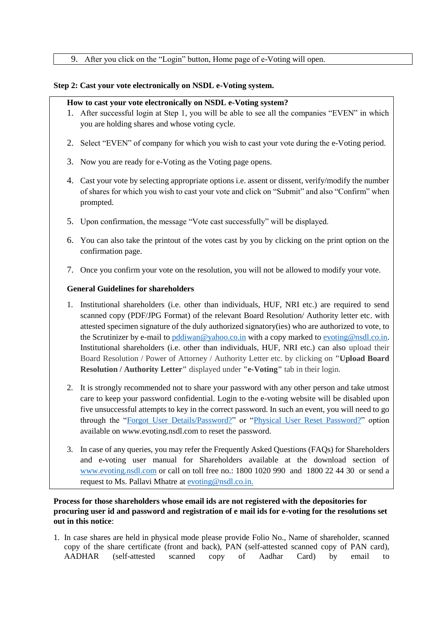## 9. After you click on the "Login" button, Home page of e-Voting will open.

#### **Step 2: Cast your vote electronically on NSDL e-Voting system.**

#### **How to cast your vote electronically on NSDL e-Voting system?**

- 1. After successful login at Step 1, you will be able to see all the companies "EVEN" in which you are holding shares and whose voting cycle.
- 2. Select "EVEN" of company for which you wish to cast your vote during the e-Voting period.
- 3. Now you are ready for e-Voting as the Voting page opens.
- 4. Cast your vote by selecting appropriate options i.e. assent or dissent, verify/modify the number of shares for which you wish to cast your vote and click on "Submit" and also "Confirm" when prompted.
- 5. Upon confirmation, the message "Vote cast successfully" will be displayed.
- 6. You can also take the printout of the votes cast by you by clicking on the print option on the confirmation page.
- 7. Once you confirm your vote on the resolution, you will not be allowed to modify your vote.

# **General Guidelines for shareholders**

- 1. Institutional shareholders (i.e. other than individuals, HUF, NRI etc.) are required to send scanned copy (PDF/JPG Format) of the relevant Board Resolution/ Authority letter etc. with attested specimen signature of the duly authorized signatory(ies) who are authorized to vote, to the Scrutinizer by e-mail to [pddiwan@yahoo.co.in](mailto:pddiwan@yahoo.co.in) with a copy marked to [evoting@nsdl.co.in.](mailto:evoting@nsdl.co.in) Institutional shareholders (i.e. other than individuals, HUF, NRI etc.) can also upload their Board Resolution / Power of Attorney / Authority Letter etc. by clicking on **"Upload Board Resolution / Authority Letter"** displayed under **"e-Voting"** tab in their login.
- 2. It is strongly recommended not to share your password with any other person and take utmost care to keep your password confidential. Login to the e-voting website will be disabled upon five unsuccessful attempts to key in the correct password. In such an event, you will need to go through the ["Forgot User Details/Password?"](https://www.evoting.nsdl.com/eVotingWeb/commonhtmls/NewUser.jsp) or ["Physical User Reset Password?"](https://www.evoting.nsdl.com/eVotingWeb/commonhtmls/PhysicalUser.jsp) option available on www.evoting.nsdl.com to reset the password.
- 3. In case of any queries, you may refer the Frequently Asked Questions (FAQs) for Shareholders and e-voting user manual for Shareholders available at the download section of [www.evoting.nsdl.com](http://www.evoting.nsdl.com/) or call on toll free no.: 1800 1020 990 and 1800 22 44 30 or send a request to Ms. Pallavi Mhatre at [evoting@nsdl.co.in.](mailto:evoting@nsdl.co.in)

# **Process for those shareholders whose email ids are not registered with the depositories for procuring user id and password and registration of e mail ids for e-voting for the resolutions set out in this notice**:

1. In case shares are held in physical mode please provide Folio No., Name of shareholder, scanned copy of the share certificate (front and back), PAN (self-attested scanned copy of PAN card), AADHAR (self-attested scanned copy of Aadhar Card) by email to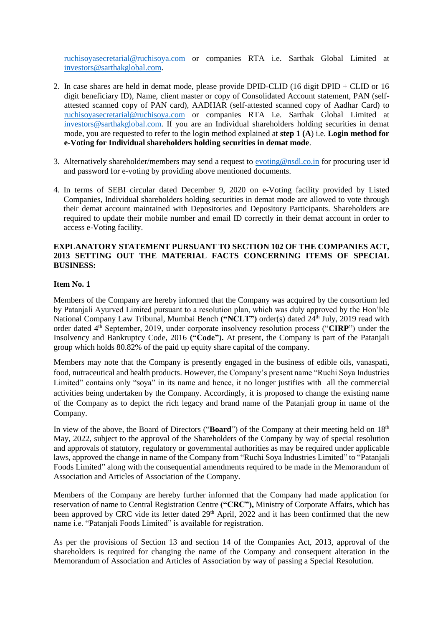[ruchisoyasecretarial@ruchisoya.com](mailto:ruchisoyasecretarial@ruchisoya.com) or companies RTA i.e. Sarthak Global Limited at [investors@sarthakglobal.com.](mailto:investors@sarthakglobal.com)

- 2. In case shares are held in demat mode, please provide DPID-CLID (16 digit DPID + CLID or 16 digit beneficiary ID), Name, client master or copy of Consolidated Account statement, PAN (selfattested scanned copy of PAN card), AADHAR (self-attested scanned copy of Aadhar Card) to [ruchisoyasecretarial@ruchisoya.com](mailto:ruchisoyasecretarial@ruchisoya.com) or companies RTA i.e. Sarthak Global Limited at [investors@sarthakglobal.com.](mailto:investors@sarthakglobal.com) If you are an Individual shareholders holding securities in demat mode, you are requested to refer to the login method explained at **step 1 (A**) i.e. **Login method for e-Voting for Individual shareholders holding securities in demat mode**.
- 3. Alternatively shareholder/members may send a request to [evoting@nsdl.co.in](mailto:evoting@nsdl.co.in) for procuring user id and password for e-voting by providing above mentioned documents.
- 4. In terms of SEBI circular dated December 9, 2020 on e-Voting facility provided by Listed Companies, Individual shareholders holding securities in demat mode are allowed to vote through their demat account maintained with Depositories and Depository Participants. Shareholders are required to update their mobile number and email ID correctly in their demat account in order to access e-Voting facility.

#### **EXPLANATORY STATEMENT PURSUANT TO SECTION 102 OF THE COMPANIES ACT, 2013 SETTING OUT THE MATERIAL FACTS CONCERNING ITEMS OF SPECIAL BUSINESS:**

#### **Item No. 1**

Members of the Company are hereby informed that the Company was acquired by the consortium led by Patanjali Ayurved Limited pursuant to a resolution plan, which was duly approved by the Hon'ble National Company Law Tribunal, Mumbai Bench **("NCLT")** order(s) dated  $24^{\text{th}}$  July, 2019 read with order dated 4th September, 2019, under corporate insolvency resolution process ("**CIRP**") under the Insolvency and Bankruptcy Code, 2016 **("Code").** At present, the Company is part of the Patanjali group which holds 80.82% of the paid up equity share capital of the company.

Members may note that the Company is presently engaged in the business of edible oils, vanaspati, food, nutraceutical and health products. However, the Company's present name "Ruchi Soya Industries Limited" contains only "soya" in its name and hence, it no longer justifies with all the commercial activities being undertaken by the Company. Accordingly, it is proposed to change the existing name of the Company as to depict the rich legacy and brand name of the Patanjali group in name of the Company.

In view of the above, the Board of Directors ("**Board**") of the Company at their meeting held on 18<sup>th</sup> May, 2022, subject to the approval of the Shareholders of the Company by way of special resolution and approvals of statutory, regulatory or governmental authorities as may be required under applicable laws, approved the change in name of the Company from "Ruchi Soya Industries Limited" to "Patanjali Foods Limited" along with the consequential amendments required to be made in the Memorandum of Association and Articles of Association of the Company.

Members of the Company are hereby further informed that the Company had made application for reservation of name to Central Registration Centre **("CRC"),** Ministry of Corporate Affairs, which has been approved by CRC vide its letter dated 29<sup>th</sup> April, 2022 and it has been confirmed that the new name i.e. "Patanjali Foods Limited" is available for registration.

As per the provisions of Section 13 and section 14 of the Companies Act, 2013, approval of the shareholders is required for changing the name of the Company and consequent alteration in the Memorandum of Association and Articles of Association by way of passing a Special Resolution.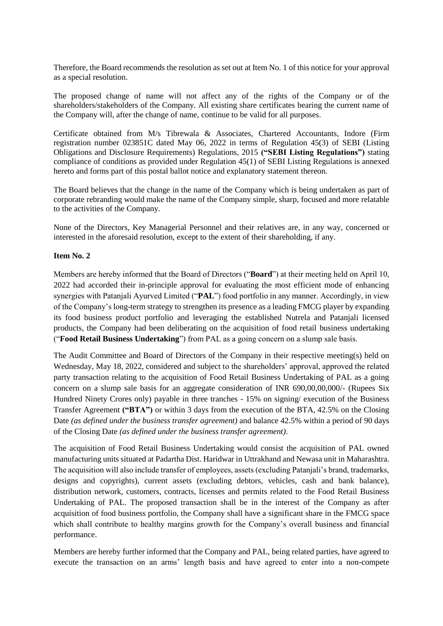Therefore, the Board recommends the resolution as set out at Item No. 1 of this notice for your approval as a special resolution.

The proposed change of name will not affect any of the rights of the Company or of the shareholders/stakeholders of the Company. All existing share certificates bearing the current name of the Company will, after the change of name, continue to be valid for all purposes.

Certificate obtained from M/s Tibrewala & Associates, Chartered Accountants, Indore (Firm registration number 023851C dated May 06, 2022 in terms of Regulation 45(3) of SEBI (Listing Obligations and Disclosure Requirements) Regulations, 2015 **("SEBI Listing Regulations")** stating compliance of conditions as provided under Regulation 45(1) of SEBI Listing Regulations is annexed hereto and forms part of this postal ballot notice and explanatory statement thereon.

The Board believes that the change in the name of the Company which is being undertaken as part of corporate rebranding would make the name of the Company simple, sharp, focused and more relatable to the activities of the Company.

None of the Directors, Key Managerial Personnel and their relatives are, in any way, concerned or interested in the aforesaid resolution, except to the extent of their shareholding, if any.

#### **Item No. 2**

Members are hereby informed that the Board of Directors ("**Board**") at their meeting held on April 10, 2022 had accorded their in-principle approval for evaluating the most efficient mode of enhancing synergies with Patanjali Ayurved Limited ("**PAL**") food portfolio in any manner. Accordingly, in view of the Company's long-term strategy to strengthen its presence as a leading FMCG player by expanding its food business product portfolio and leveraging the established Nutrela and Patanjali licensed products, the Company had been deliberating on the acquisition of food retail business undertaking ("**Food Retail Business Undertaking**") from PAL as a going concern on a slump sale basis.

The Audit Committee and Board of Directors of the Company in their respective meeting(s) held on Wednesday, May 18, 2022, considered and subject to the shareholders' approval, approved the related party transaction relating to the acquisition of Food Retail Business Undertaking of PAL as a going concern on a slump sale basis for an aggregate consideration of INR 690,00,00,000/- (Rupees Six Hundred Ninety Crores only) payable in three tranches - 15% on signing/ execution of the Business Transfer Agreement **("BTA")** or within 3 days from the execution of the BTA, 42.5% on the Closing Date *(as defined under the business transfer agreement)* and balance 42.5% within a period of 90 days of the Closing Date *(as defined under the business transfer agreement)*.

The acquisition of Food Retail Business Undertaking would consist the acquisition of PAL owned manufacturing units situated at Padartha Dist. Haridwar in Uttrakhand and Newasa unit in Maharashtra. The acquisition will also include transfer of employees, assets (excluding Patanjali's brand, trademarks, designs and copyrights), current assets (excluding debtors, vehicles, cash and bank balance), distribution network, customers, contracts, licenses and permits related to the Food Retail Business Undertaking of PAL. The proposed transaction shall be in the interest of the Company as after acquisition of food business portfolio, the Company shall have a significant share in the FMCG space which shall contribute to healthy margins growth for the Company's overall business and financial performance.

Members are hereby further informed that the Company and PAL, being related parties, have agreed to execute the transaction on an arms' length basis and have agreed to enter into a non-compete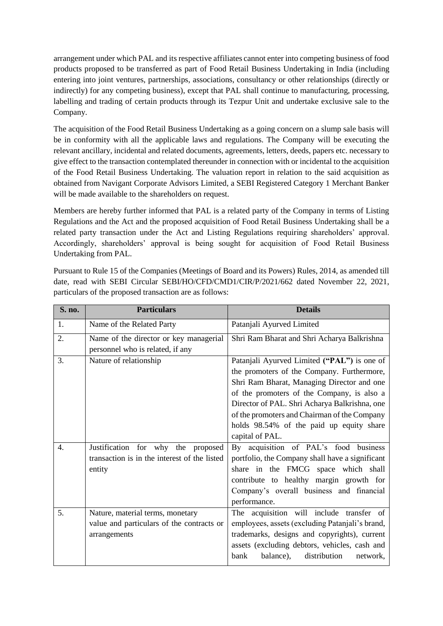arrangement under which PAL and its respective affiliates cannot enter into competing business of food products proposed to be transferred as part of Food Retail Business Undertaking in India (including entering into joint ventures, partnerships, associations, consultancy or other relationships (directly or indirectly) for any competing business), except that PAL shall continue to manufacturing, processing, labelling and trading of certain products through its Tezpur Unit and undertake exclusive sale to the Company.

The acquisition of the Food Retail Business Undertaking as a going concern on a slump sale basis will be in conformity with all the applicable laws and regulations. The Company will be executing the relevant ancillary, incidental and related documents, agreements, letters, deeds, papers etc. necessary to give effect to the transaction contemplated thereunder in connection with or incidental to the acquisition of the Food Retail Business Undertaking. The valuation report in relation to the said acquisition as obtained from Navigant Corporate Advisors Limited, a SEBI Registered Category 1 Merchant Banker will be made available to the shareholders on request.

Members are hereby further informed that PAL is a related party of the Company in terms of Listing Regulations and the Act and the proposed acquisition of Food Retail Business Undertaking shall be a related party transaction under the Act and Listing Regulations requiring shareholders' approval. Accordingly, shareholders' approval is being sought for acquisition of Food Retail Business Undertaking from PAL.

Pursuant to Rule 15 of the Companies (Meetings of Board and its Powers) Rules, 2014, as amended till date, read with SEBI Circular SEBI/HO/CFD/CMD1/CIR/P/2021/662 dated November 22, 2021, particulars of the proposed transaction are as follows:

| S. no.           | <b>Particulars</b>                           | <b>Details</b>                                  |
|------------------|----------------------------------------------|-------------------------------------------------|
| 1.               | Name of the Related Party                    | Patanjali Ayurved Limited                       |
| 2.               | Name of the director or key managerial       | Shri Ram Bharat and Shri Acharya Balkrishna     |
|                  | personnel who is related, if any             |                                                 |
| 3.               | Nature of relationship                       | Patanjali Ayurved Limited ("PAL") is one of     |
|                  |                                              | the promoters of the Company. Furthermore,      |
|                  |                                              | Shri Ram Bharat, Managing Director and one      |
|                  |                                              | of the promoters of the Company, is also a      |
|                  |                                              | Director of PAL. Shri Acharya Balkrishna, one   |
|                  |                                              | of the promoters and Chairman of the Company    |
|                  |                                              | holds 98.54% of the paid up equity share        |
|                  |                                              | capital of PAL.                                 |
| $\overline{4}$ . | Justification for why the proposed           | By acquisition of PAL's food business           |
|                  | transaction is in the interest of the listed | portfolio, the Company shall have a significant |
|                  | entity                                       | share in the FMCG space which shall             |
|                  |                                              | contribute to healthy margin growth for         |
|                  |                                              | Company's overall business and financial        |
|                  |                                              | performance.                                    |
| 5.               | Nature, material terms, monetary             | The acquisition will include transfer of        |
|                  | value and particulars of the contracts or    | employees, assets (excluding Patanjali's brand, |
|                  | arrangements                                 | trademarks, designs and copyrights), current    |
|                  |                                              | assets (excluding debtors, vehicles, cash and   |
|                  |                                              | balance),<br>distribution<br>bank<br>network,   |
|                  |                                              |                                                 |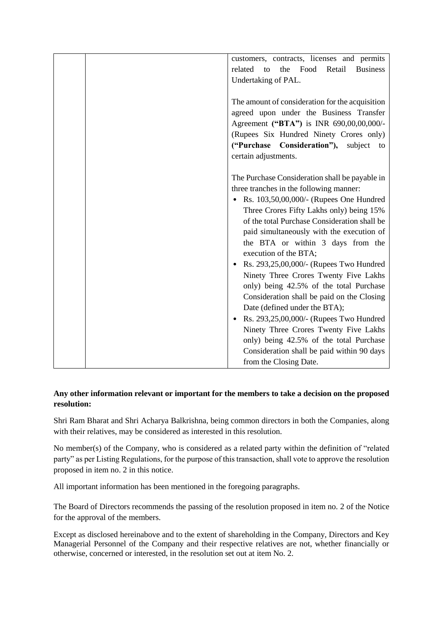|  | customers, contracts, licenses and permits                |
|--|-----------------------------------------------------------|
|  | related<br>Food<br>Retail<br><b>Business</b><br>the<br>to |
|  | Undertaking of PAL.                                       |
|  |                                                           |
|  | The amount of consideration for the acquisition           |
|  | agreed upon under the Business Transfer                   |
|  | Agreement ("BTA") is INR 690,00,00,000/-                  |
|  | (Rupees Six Hundred Ninety Crores only)                   |
|  | ("Purchase<br>Consideration"),<br>subject<br>to           |
|  | certain adjustments.                                      |
|  |                                                           |
|  | The Purchase Consideration shall be payable in            |
|  | three tranches in the following manner:                   |
|  | • Rs. 103,50,00,000/- (Rupees One Hundred                 |
|  | Three Crores Fifty Lakhs only) being 15%                  |
|  | of the total Purchase Consideration shall be              |
|  | paid simultaneously with the execution of                 |
|  | the BTA or within 3 days from the                         |
|  | execution of the BTA;                                     |
|  | Rs. 293,25,00,000/- (Rupees Two Hundred                   |
|  | Ninety Three Crores Twenty Five Lakhs                     |
|  | only) being 42.5% of the total Purchase                   |
|  | Consideration shall be paid on the Closing                |
|  | Date (defined under the BTA);                             |
|  | Rs. 293,25,00,000/- (Rupees Two Hundred<br>٠              |
|  | Ninety Three Crores Twenty Five Lakhs                     |
|  | only) being 42.5% of the total Purchase                   |
|  | Consideration shall be paid within 90 days                |
|  | from the Closing Date.                                    |
|  |                                                           |

# **Any other information relevant or important for the members to take a decision on the proposed resolution:**

Shri Ram Bharat and Shri Acharya Balkrishna, being common directors in both the Companies, along with their relatives, may be considered as interested in this resolution.

No member(s) of the Company, who is considered as a related party within the definition of "related party" as per Listing Regulations, for the purpose of this transaction, shall vote to approve the resolution proposed in item no. 2 in this notice.

All important information has been mentioned in the foregoing paragraphs.

The Board of Directors recommends the passing of the resolution proposed in item no. 2 of the Notice for the approval of the members.

Except as disclosed hereinabove and to the extent of shareholding in the Company, Directors and Key Managerial Personnel of the Company and their respective relatives are not, whether financially or otherwise, concerned or interested, in the resolution set out at item No. 2.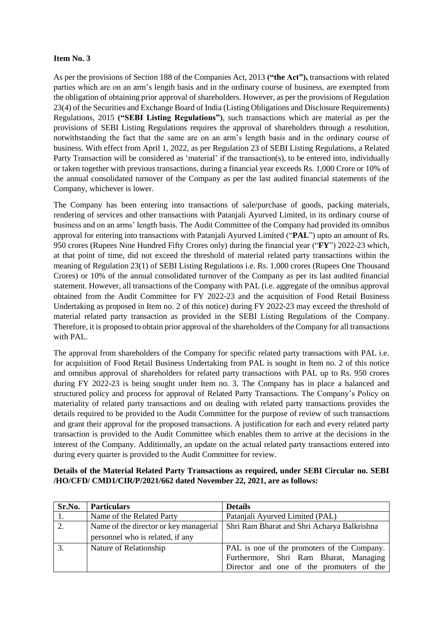## **Item No. 3**

As per the provisions of Section 188 of the Companies Act, 2013 **("the Act"),** transactions with related parties which are on an arm's length basis and in the ordinary course of business, are exempted from the obligation of obtaining prior approval of shareholders. However, as per the provisions of Regulation 23(4) of the Securities and Exchange Board of India (Listing Obligations and Disclosure Requirements) Regulations, 2015 **("SEBI Listing Regulations")**, such transactions which are material as per the provisions of SEBI Listing Regulations requires the approval of shareholders through a resolution, notwithstanding the fact that the same are on an arm's length basis and in the ordinary course of business. With effect from April 1, 2022, as per Regulation 23 of SEBI Listing Regulations, a Related Party Transaction will be considered as 'material' if the transaction(s), to be entered into, individually or taken together with previous transactions, during a financial year exceeds Rs. 1,000 Crore or 10% of the annual consolidated turnover of the Company as per the last audited financial statements of the Company, whichever is lower.

The Company has been entering into transactions of sale/purchase of goods, packing materials, rendering of services and other transactions with Patanjali Ayurved Limited, in its ordinary course of business and on an arms' length basis. The Audit Committee of the Company had provided its omnibus approval for entering into transactions with Patanjali Ayurved Limited ("**PAL**") upto an amount of Rs. 950 crores (Rupees Nine Hundred Fifty Crores only) during the financial year ("**FY**") 2022-23 which, at that point of time, did not exceed the threshold of material related party transactions within the meaning of Regulation 23(1) of SEBI Listing Regulations i.e. Rs. 1,000 crores (Rupees One Thousand Crores) or 10% of the annual consolidated turnover of the Company as per its last audited financial statement. However, all transactions of the Company with PAL (i.e. aggregate of the omnibus approval obtained from the Audit Committee for FY 2022-23 and the acquisition of Food Retail Business Undertaking as proposed in Item no. 2 of this notice) during FY 2022-23 may exceed the threshold of material related party transaction as provided in the SEBI Listing Regulations of the Company. Therefore, it is proposed to obtain prior approval of the shareholders of the Company for all transactions with PAL.

The approval from shareholders of the Company for specific related party transactions with PAL i.e. for acquisition of Food Retail Business Undertaking from PAL is sought in Item no. 2 of this notice and omnibus approval of shareholders for related party transactions with PAL up to Rs. 950 crores during FY 2022-23 is being sought under Item no. 3. The Company has in place a balanced and structured policy and process for approval of Related Party Transactions. The Company's Policy on materiality of related party transactions and on dealing with related party transactions provides the details required to be provided to the Audit Committee for the purpose of review of such transactions and grant their approval for the proposed transactions. A justification for each and every related party transaction is provided to the Audit Committee which enables them to arrive at the decisions in the interest of the Company. Additionally, an update on the actual related party transactions entered into during every quarter is provided to the Audit Committee for review.

| Details of the Material Related Party Transactions as required, under SEBI Circular no. SEBI |  |
|----------------------------------------------------------------------------------------------|--|
| /HO/CFD/ CMD1/CIR/P/2021/662 dated November 22, 2021, are as follows:                        |  |

| Sr.No. | <b>Particulars</b>                                                         | <b>Details</b>                                                                                                                    |
|--------|----------------------------------------------------------------------------|-----------------------------------------------------------------------------------------------------------------------------------|
| 1.     | Name of the Related Party                                                  | Patanjali Ayurved Limited (PAL)                                                                                                   |
| 2.     | Name of the director or key managerial<br>personnel who is related, if any | Shri Ram Bharat and Shri Acharya Balkrishna                                                                                       |
|        | Nature of Relationship                                                     | PAL is one of the promoters of the Company.<br>Furthermore, Shri Ram Bharat, Managing<br>Director and one of the promoters of the |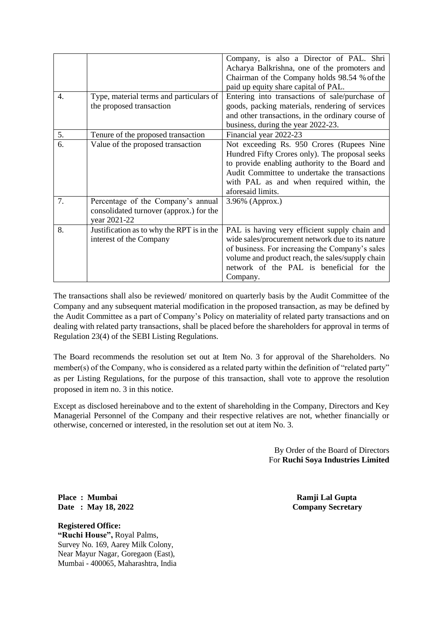| 4. | Type, material terms and particulars of<br>the proposed transaction                           | Company, is also a Director of PAL. Shri<br>Acharya Balkrishna, one of the promoters and<br>Chairman of the Company holds 98.54 % of the<br>paid up equity share capital of PAL.<br>Entering into transactions of sale/purchase of<br>goods, packing materials, rendering of services<br>and other transactions, in the ordinary course of |
|----|-----------------------------------------------------------------------------------------------|--------------------------------------------------------------------------------------------------------------------------------------------------------------------------------------------------------------------------------------------------------------------------------------------------------------------------------------------|
|    |                                                                                               | business, during the year 2022-23.                                                                                                                                                                                                                                                                                                         |
| 5. | Tenure of the proposed transaction                                                            | Financial year 2022-23                                                                                                                                                                                                                                                                                                                     |
| 6. | Value of the proposed transaction                                                             | Not exceeding Rs. 950 Crores (Rupees Nine<br>Hundred Fifty Crores only). The proposal seeks<br>to provide enabling authority to the Board and<br>Audit Committee to undertake the transactions<br>with PAL as and when required within, the<br>aforesaid limits.                                                                           |
| 7. | Percentage of the Company's annual<br>consolidated turnover (approx.) for the<br>year 2021-22 | 3.96% (Approx.)                                                                                                                                                                                                                                                                                                                            |
| 8. | Justification as to why the RPT is in the<br>interest of the Company                          | PAL is having very efficient supply chain and<br>wide sales/procurement network due to its nature<br>of business. For increasing the Company's sales<br>volume and product reach, the sales/supply chain<br>network of the PAL is beneficial for the<br>Company.                                                                           |

The transactions shall also be reviewed/ monitored on quarterly basis by the Audit Committee of the Company and any subsequent material modification in the proposed transaction, as may be defined by the Audit Committee as a part of Company's Policy on materiality of related party transactions and on dealing with related party transactions, shall be placed before the shareholders for approval in terms of Regulation 23(4) of the SEBI Listing Regulations.

The Board recommends the resolution set out at Item No. 3 for approval of the Shareholders. No member(s) of the Company, who is considered as a related party within the definition of "related party" as per Listing Regulations, for the purpose of this transaction, shall vote to approve the resolution proposed in item no. 3 in this notice.

Except as disclosed hereinabove and to the extent of shareholding in the Company, Directors and Key Managerial Personnel of the Company and their respective relatives are not, whether financially or otherwise, concerned or interested, in the resolution set out at item No. 3.

> By Order of the Board of Directors For **Ruchi Soya Industries Limited**

**Place : Mumbai Ramji Lal Gupta Date : May 18, 2022** Company Secretary

**Registered Office: "Ruchi House",** Royal Palms, Survey No. 169, Aarey Milk Colony, Near Mayur Nagar, Goregaon (East), Mumbai - 400065, Maharashtra, India